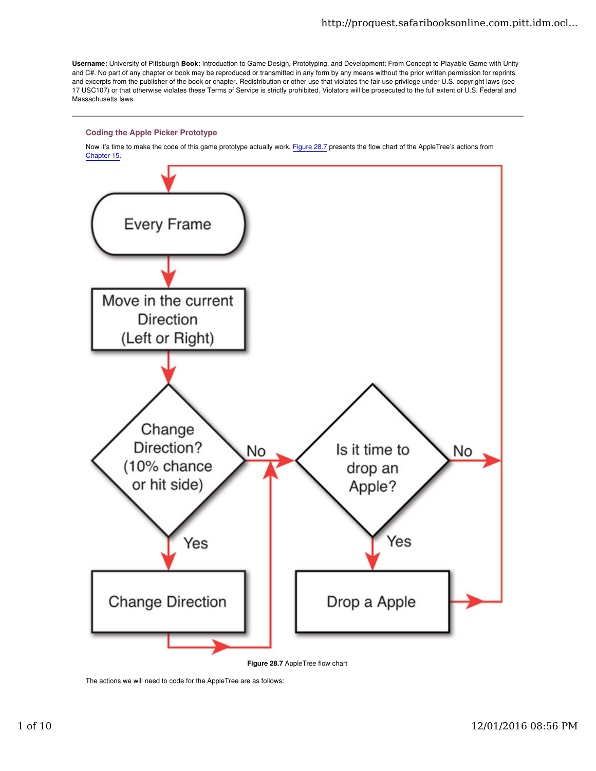Username: University of Pittsburgh Book: Introduction to Game Design, Prototyping, and Development: From Concept to Playable Game with Unity and C#. No part of any chapter or book may be reproduced or transmitted in any form by any means without the prior written permission for reprints and excerpts from the publisher of the book or chapter. Redistribution or other use that violates the fair use privilege under U.S. copyright laws (see 17 USC107) or that otherwise violates these Terms of Service is strictly prohibited. Violators will be prosecuted to the full extent of U.S. Federal and Massachusetts laws.

# Coding the Apple Picker Prototype

Now it's time to make the code of this game prototype actually work. Figure 28.7 presents the flow chart of the AppleTree's actions from Chapter 15.



Figure 28.7 AppleTree flow chart

The actions we will need to code for the AppleTree are as follows: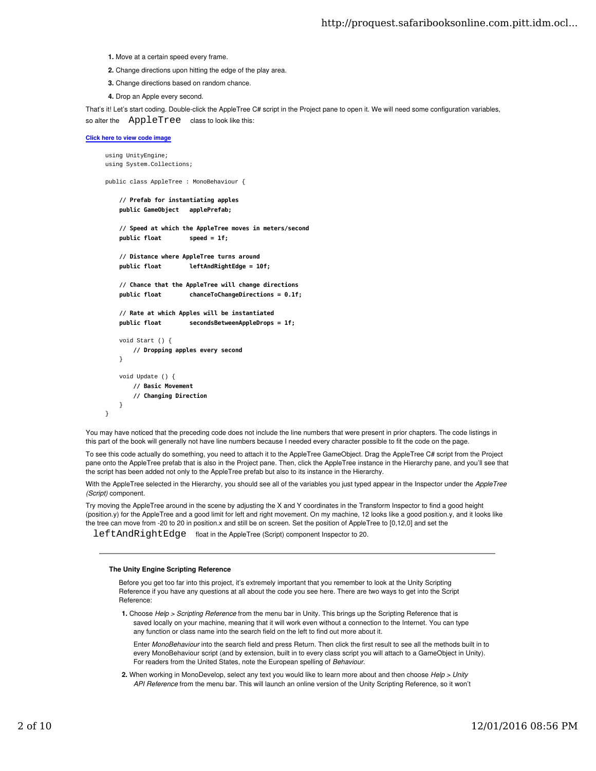- 1. Move at a certain speed every frame.
- 2. Change directions upon hitting the edge of the play area.
- 3. Change directions based on random chance.
- 4. Drop an Apple every second.

That's it! Let's start coding. Double-click the AppleTree C# script in the Project pane to open it. We will need some configuration variables, so alter the AppleTree class to look like this:

```
Click here to view code image
```
}

```
using UnityEngine;
using System.Collections;
```

```
public class AppleTree : MonoBehaviour {
```

```
// Prefab for instantiating apples
public GameObject   applePrefab;
// Speed at which the AppleTree moves in meters/second
public float        speed = 1f;
// Distance where AppleTree turns around
public float        leftAndRightEdge = 10f;
// Chance that the AppleTree will change directions
public float        chanceToChangeDirections = 0.1f;
// Rate at which Apples will be instantiated
public float        secondsBetweenAppleDrops = 1f;
void Start () {
    // Dropping apples every second
 }
 void Update () {
    // Basic Movement
    // Changing Direction
 }
```
You may have noticed that the preceding code does not include the line numbers that were present in prior chapters. The code listings in this part of the book will generally not have line numbers because I needed every character possible to fit the code on the page.

To see this code actually do something, you need to attach it to the AppleTree GameObject. Drag the AppleTree C# script from the Project pane onto the AppleTree prefab that is also in the Project pane. Then, click the AppleTree instance in the Hierarchy pane, and you'll see that the script has been added not only to the AppleTree prefab but also to its instance in the Hierarchy.

With the AppleTree selected in the Hierarchy, you should see all of the variables you just typed appear in the Inspector under the AppleTree (Script) component.

Try moving the AppleTree around in the scene by adjusting the X and Y coordinates in the Transform Inspector to find a good height (position.y) for the AppleTree and a good limit for left and right movement. On my machine, 12 looks like a good position.y, and it looks like the tree can move from -20 to 20 in position.x and still be on screen. Set the position of AppleTree to [0,12,0] and set the

leftAndRightEdge float in the AppleTree (Script) component Inspector to 20.

#### The Unity Engine Scripting Reference

Before you get too far into this project, it's extremely important that you remember to look at the Unity Scripting Reference if you have any questions at all about the code you see here. There are two ways to get into the Script Reference:

1. Choose Help > Scripting Reference from the menu bar in Unity. This brings up the Scripting Reference that is saved locally on your machine, meaning that it will work even without a connection to the Internet. You can type any function or class name into the search field on the left to find out more about it.

Enter MonoBehaviour into the search field and press Return. Then click the first result to see all the methods built in to every MonoBehaviour script (and by extension, built in to every class script you will attach to a GameObject in Unity). For readers from the United States, note the European spelling of Behaviour.

2. When working in MonoDevelop, select any text you would like to learn more about and then choose Help > Unity API Reference from the menu bar. This will launch an online version of the Unity Scripting Reference, so it won't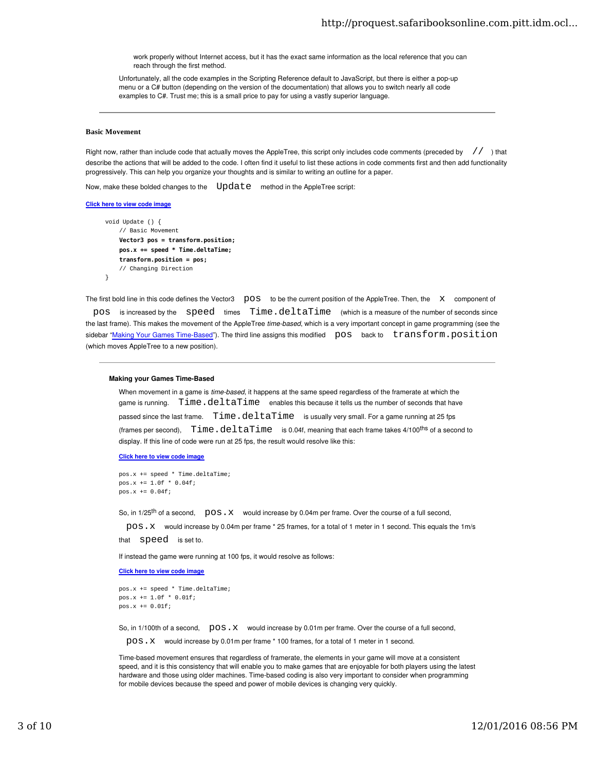work properly without Internet access, but it has the exact same information as the local reference that you can reach through the first method.

Unfortunately, all the code examples in the Scripting Reference default to JavaScript, but there is either a pop-up menu or a C# button (depending on the version of the documentation) that allows you to switch nearly all code examples to C#. Trust me; this is a small price to pay for using a vastly superior language.

## **Basic Movement**

Right now, rather than include code that actually moves the AppleTree, this script only includes code comments (preceded by  $\angle\angle$ ) that describe the actions that will be added to the code. I often find it useful to list these actions in code comments first and then add functionality progressively. This can help you organize your thoughts and is similar to writing an outline for a paper.

Now, make these bolded changes to the  $Update$  method in the AppleTree script:

# Click here to view code image

```
void Update () {
     // Basic Movement
   Vector3 pos = transform.position;
    pos.x += speed * Time.deltaTime;
    transform.position = pos;
     // Changing Direction
}
```
The first bold line in this code defines the Vector3 post to be the current position of the AppleTree. Then, the X component of pos is increased by the Speed times Time.deltaTime (which is a measure of the number of seconds since the last frame). This makes the movement of the AppleTree time-based, which is a very important concept in game programming (see the sidebar "Making Your Games Time-Based"). The third line assigns this modified pos back to transform.position (which moves AppleTree to a new position).

### Making your Games Time-Based

When movement in a game is time-based, it happens at the same speed regardless of the framerate at which the game is running.  $Time.deltaTime$  enables this because it tells us the number of seconds that have passed since the last frame.  $Time.deltatime$  is usually very small. For a game running at 25 fps (frames per second),  $Time$ .deltaTime is 0.04f, meaning that each frame takes 4/100<sup>ths</sup> of a second to display. If this line of code were run at 25 fps, the result would resolve like this:

Click here to view code image

```
pos.x += speed * Time.deltaTime;
pos.x += 1.0f * 0.04f;
pos.x += 0.04f;
```
So, in 1/25<sup>th</sup> of a second, pos. X would increase by 0.04m per frame. Over the course of a full second,

pos.x would increase by 0.04m per frame \* 25 frames, for a total of 1 meter in 1 second. This equals the 1m/s that speed is set to.

If instead the game were running at 100 fps, it would resolve as follows:

Click here to view code image

```
pos.x += speed * Time.deltaTime;
pos.x += 1.0f * 0.01f;pos.x += 0.01f;
```
So, in 1/100th of a second,  $DOS.X$  would increase by 0.01m per frame. Over the course of a full second,

pos.x would increase by 0.01m per frame \* 100 frames, for a total of 1 meter in 1 second.

Time-based movement ensures that regardless of framerate, the elements in your game will move at a consistent speed, and it is this consistency that will enable you to make games that are enjoyable for both players using the latest hardware and those using older machines. Time-based coding is also very important to consider when programming for mobile devices because the speed and power of mobile devices is changing very quickly.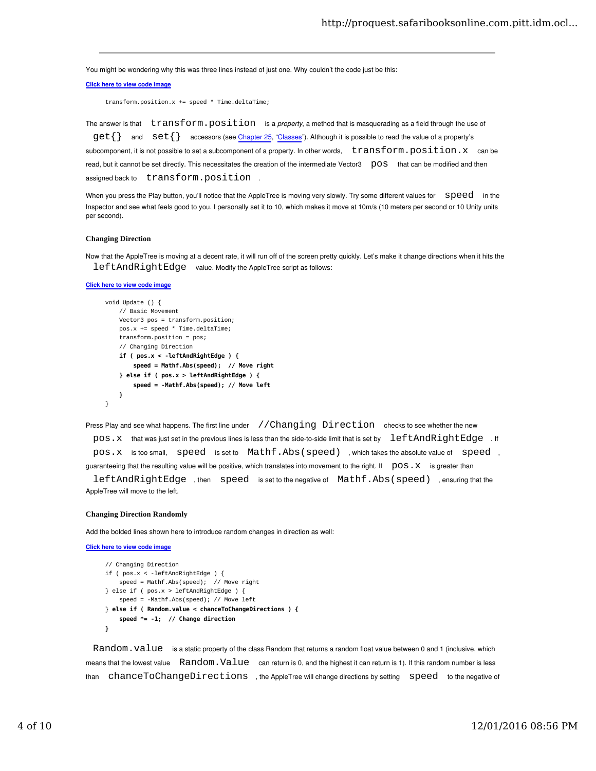You might be wondering why this was three lines instead of just one. Why couldn't the code just be this:

Click here to view code image

transform.position.x += speed \* Time.deltaTime;

The answer is that transform.position is a property, a method that is masquerading as a field through the use of  $\left\{\mathsf{get}\right\}\}$  and  $\mathsf{Set}\right\}$  accessors (see Chapter 25, "Classes"). Although it is possible to read the value of a property's subcomponent, it is not possible to set a subcomponent of a property. In other words,  $transform.position.x$  can be read, but it cannot be set directly. This necessitates the creation of the intermediate Vector3 pos that can be modified and then assigned back to transform.position.

When you press the Play button, you'll notice that the AppleTree is moving very slowly. Try some different values for  $\text{Spec } d$  in the Inspector and see what feels good to you. I personally set it to 10, which makes it move at 10m/s (10 meters per second or 10 Unity units per second).

# **Changing Direction**

Now that the AppleTree is moving at a decent rate, it will run off of the screen pretty quickly. Let's make it change directions when it hits the leftAndRightEdge value. Modify the AppleTree script as follows:

### Click here to view code image

```
void Update () {
     // Basic Movement
    Vector3 pos = transform.position;
     pos.x += speed * Time.deltaTime;
    transform.position = pos;
     // Changing Direction
   if ( pos.x < -leftAndRightEdge ) {
        speed = Mathf.Abs(speed);  // Move right
    } else if ( pos.x > leftAndRightEdge ) {
        speed = -Mathf.Abs(speed); // Move left
    }
}
```
Press Play and see what happens. The first line under //Changing Direction checks to see whether the new  $pos.x$  that was just set in the previous lines is less than the side-to-side limit that is set by leftAndRightEdge . If pos.x is too small, speed is set to Mathf.Abs(speed) , which takes the absolute value of speed,

guaranteeing that the resulting value will be positive, which translates into movement to the right. If  $DOS.X$  is greater than

 $\operatorname{\sf leftAndRightEdge}$  , then  $\operatorname{\sf speed}$  is set to the negative of  $\operatorname{\sf Math.Abs}(\operatorname{\sf speed})$  , ensuring that the AppleTree will move to the left.

# **Changing Direction Randomly**

Add the bolded lines shown here to introduce random changes in direction as well:

```
Click here to view code image
```

```
// Changing Direction
if ( pos.x < -leftAndRightEdge ) {
     speed = Mathf.Abs(speed); // Move right
} else if ( pos.x > leftAndRightEdge ) {
     speed = -Mathf.Abs(speed); // Move left
} else if ( Random.value < chanceToChangeDirections ) {
    speed *= -1;  // Change direction
}
```
Random. Value is a static property of the class Random that returns a random float value between 0 and 1 (inclusive, which means that the lowest value  $Random.Value$  can return is 0, and the highest it can return is 1). If this random number is less than chanceToChangeDirections , the AppleTree will change directions by setting Speed to the negative of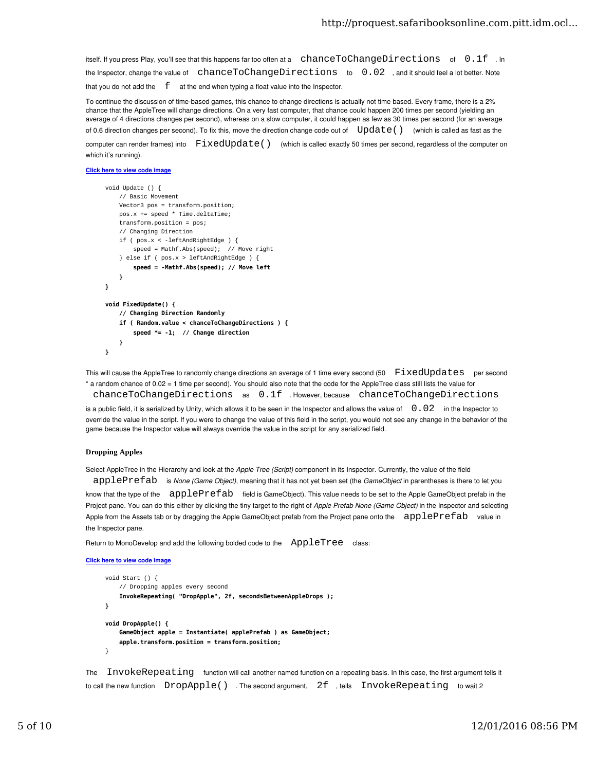itself. If you press Play, you'll see that this happens far too often at a ChanceToChangeDirections of 0.1f . In the Inspector, change the value of ChanceToChangeDirections to 0.02, and it should feel a lot better. Note that you do not add the  $f$  at the end when typing a float value into the Inspector.

To continue the discussion of time-based games, this chance to change directions is actually not time based. Every frame, there is a 2% chance that the AppleTree will change directions. On a very fast computer, that chance could happen 200 times per second (yielding an average of 4 directions changes per second), whereas on a slow computer, it could happen as few as 30 times per second (for an average of 0.6 direction changes per second). To fix this, move the direction change code out of  $Update()$  (which is called as fast as the

computer can render frames) into  $FixedUpdate()$  (which is called exactly 50 times per second, regardless of the computer on which it's running).

# Click here to view code image

```
void Update () {
     // Basic Movement
     Vector3 pos = transform.position;
     pos.x += speed * Time.deltaTime;
     transform.position = pos;
     // Changing Direction
     if ( pos.x < -leftAndRightEdge ) {
         speed = Mathf.Abs(speed); // Move right
     } else if ( pos.x > leftAndRightEdge ) {
        speed = -Mathf.Abs(speed); // Move left
    }
}
void FixedUpdate() {
    // Changing Direction Randomly
    if ( Random.value < chanceToChangeDirections ) {
        speed *= -1;  // Change direction
    }
}
```
This will cause the AppleTree to randomly change directions an average of 1 time every second (50  $FixedUpdates$  per second \* a random chance of 0.02 = 1 time per second). You should also note that the code for the AppleTree class still lists the value for

chanceToChangeDirections as 0.1f . However, because chanceToChangeDirections is a public field, it is serialized by Unity, which allows it to be seen in the Inspector and allows the value of  $0.02$  in the Inspector to

override the value in the script. If you were to change the value of this field in the script, you would not see any change in the behavior of the game because the Inspector value will always override the value in the script for any serialized field.

## **Dropping Apples**

Select AppleTree in the Hierarchy and look at the Apple Tree (Script) component in its Inspector. Currently, the value of the field  $applePrefab$  is None (Game Object), meaning that it has not yet been set (the GameObject in parentheses is there to let you

know that the type of the  $applePrefab$  field is GameObject). This value needs to be set to the Apple GameObject prefab in the Project pane. You can do this either by clicking the tiny target to the right of Apple Prefab None (Game Object) in the Inspector and selecting Apple from the Assets tab or by dragging the Apple GameObject prefab from the Project pane onto the  $app1ePrefab$  value in the Inspector pane.

Return to MonoDevelop and add the following bolded code to the  $\quad$  AppleTree class:

# Click here to view code image

```
void Start () {
     // Dropping apples every second
    InvokeRepeating( "DropApple", 2f, secondsBetweenAppleDrops );
}
void DropApple() {
    GameObject apple = Instantiate( applePrefab ) as GameObject;
    apple.transform.position = transform.position;
}
```
The InvokeRepeating function will call another named function on a repeating basis. In this case, the first argument tells it to call the new function DropApple() . The second argument, 2f, tells InvokeRepeating to wait 2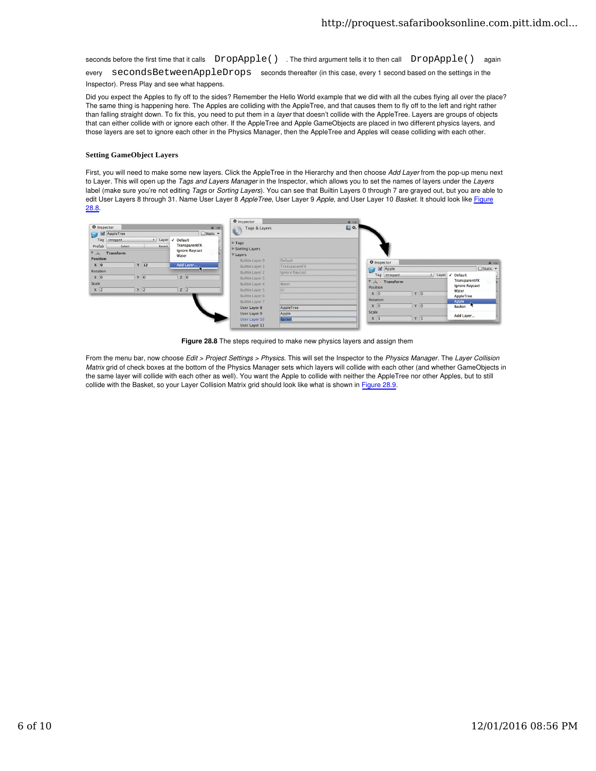seconds before the first time that it calls  $DropApple()$  . The third argument tells it to then call  $DropApple()$  again every SecondsBetweenAppleDrops seconds thereafter (in this case, every 1 second based on the settings in the Inspector). Press Play and see what happens.

Did you expect the Apples to fly off to the sides? Remember the Hello World example that we did with all the cubes flying all over the place? The same thing is happening here. The Apples are colliding with the AppleTree, and that causes them to fly off to the left and right rather than falling straight down. To fix this, you need to put them in a layer that doesn't collide with the AppleTree. Layers are groups of objects that can either collide with or ignore each other. If the AppleTree and Apple GameObjects are placed in two different physics layers, and those layers are set to ignore each other in the Physics Manager, then the AppleTree and Apples will cease colliding with each other.

# **Setting GameObject Layers**

First, you will need to make some new layers. Click the AppleTree in the Hierarchy and then choose Add Layer from the pop-up menu next to Layer. This will open up the Tags and Layers Manager in the Inspector, which allows you to set the names of layers under the Layers label (make sure you're not editing Tags or Sorting Layers). You can see that Builtin Layers 0 through 7 are grayed out, but you are able to edit User Layers 8 through 31. Name User Layer 8 AppleTree, User Layer 9 Apple, and User Layer 10 Basket. It should look like Figure 28.8.

| <b>O</b> Inspector<br>AppleTree<br>Ø                                    |                             | $\mathbf{a}$ $\mathbf{b}$<br>$\Box$ Static $\blacktriangledown$ | <b>O</b> Inspector<br>Tags & Layers<br>Q                                   |                          | $a - b$<br>$\Box$ $\circ$ , |                                            |       |                                                                   |
|-------------------------------------------------------------------------|-----------------------------|-----------------------------------------------------------------|----------------------------------------------------------------------------|--------------------------|-----------------------------|--------------------------------------------|-------|-------------------------------------------------------------------|
| Tag Untagged<br>Prefab<br>Select<br><b>Transform</b><br><b>Position</b> | ↓ Layer √ Default<br>Revert | TransparentFX<br><b>Ignore Raycast</b><br>Water                 | $\blacktriangleright$ Tags<br>Sorting Layers<br>▼ Layers                   |                          |                             |                                            |       |                                                                   |
| $X$ 0<br><b>Rotation</b>                                                | $Y$ 12                      | Add Layer                                                       | Builtin Layer 0<br>Builtin Layer 1                                         | Default<br>TransparentFX |                             | <b>O</b> Inspector<br>$\sqrt{$ Apple<br>×. |       | $\mathbf{a}$ - $\mathbf{b}$<br>$\Box$ Static $\blacktriangledown$ |
| $X$ 0<br>Scale                                                          | $Y$ 0                       | $Z$ 0                                                           | <b>Builtin Layer 2</b><br><b>Builtin Layer 3</b><br><b>Builtin Layer 4</b> | Ignore Raycast<br>Water  |                             | Tag Untagged<br>Transform                  |       | ‡ Layer √ Default<br>TransparentFX                                |
| $X$ 2                                                                   | $Y$ 2                       | $Z$ $\overline{2}$                                              | Builtin Laver 5<br>Builtin Layer 6                                         | <b>UI</b>                |                             | Position<br>$X$ 0<br>Rotation              | $Y$ 0 | <b>Ignore Raycast</b><br>Water<br>AppleTree                       |
|                                                                         |                             |                                                                 | Builtin Layer 7<br>User Layer 8<br>User Layer 9                            | AppleTree<br>Apple       |                             | $X$ 0<br>Scale                             | $Y$ 0 | Apple<br><b>Basket</b>                                            |
|                                                                         |                             |                                                                 | User Layer 10<br>User Layer 11                                             | Basket                   |                             | X <sub>1</sub>                             | Y 1   | Add Laver                                                         |

Figure 28.8 The steps required to make new physics layers and assign them

From the menu bar, now choose Edit > Project Settings > Physics. This will set the Inspector to the Physics Manager. The Layer Collision Matrix grid of check boxes at the bottom of the Physics Manager sets which layers will collide with each other (and whether GameObjects in the same layer will collide with each other as well). You want the Apple to collide with neither the AppleTree nor other Apples, but to still collide with the Basket, so your Layer Collision Matrix grid should look like what is shown in Figure 28.9.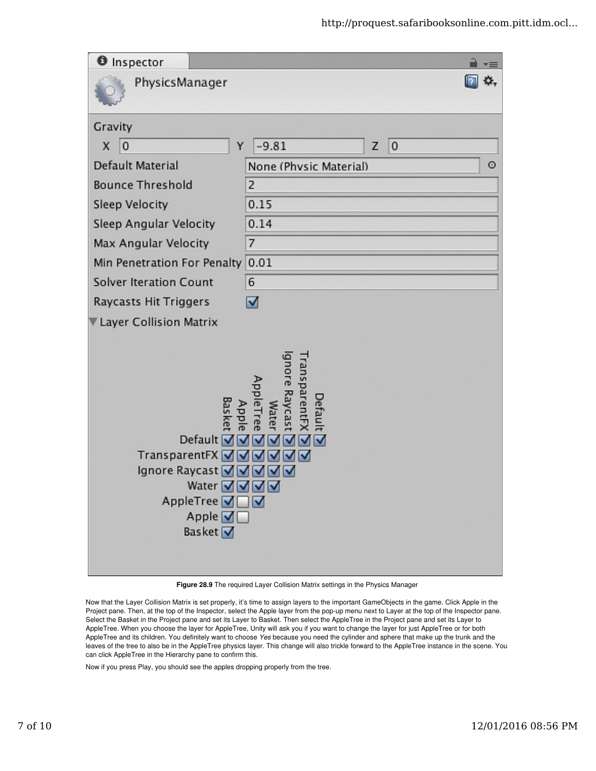| <b>O</b> Inspector                                                                                                                                        |                                                                                               | ▼三 |
|-----------------------------------------------------------------------------------------------------------------------------------------------------------|-----------------------------------------------------------------------------------------------|----|
| PhysicsManager                                                                                                                                            |                                                                                               | Ω, |
| Gravity                                                                                                                                                   |                                                                                               |    |
| $\bf{0}$<br>Y<br>X                                                                                                                                        | $-9.81$<br>$\overline{0}$<br>Z                                                                |    |
| Default Material                                                                                                                                          | None (Physic Material)                                                                        | o  |
| <b>Bounce Threshold</b>                                                                                                                                   | $\overline{2}$                                                                                |    |
| Sleep Velocity                                                                                                                                            | 0.15                                                                                          |    |
| Sleep Angular Velocity                                                                                                                                    | 0.14                                                                                          |    |
| Max Angular Velocity                                                                                                                                      | 7                                                                                             |    |
| Min Penetration For Penalty 0.01                                                                                                                          |                                                                                               |    |
| <b>Solver Iteration Count</b>                                                                                                                             | 6                                                                                             |    |
| Raycasts Hit Triggers                                                                                                                                     | ☑                                                                                             |    |
| Layer Collision Matrix                                                                                                                                    |                                                                                               |    |
| Default <b>V</b> V  <br>TransparentFX √ √<br>Ignore Raycast √ √ √<br>Water <b>V</b> V V<br>AppleTree <b>V</b> □Ø<br>Apple $\blacksquare$<br><b>Basket</b> | lgnore Raycast I<br>Water I<br>Water I<br>AppleTree I<br>Basket I<br>TransparentFX<br>Default |    |

Figure 28.9 The required Layer Collision Matrix settings in the Physics Manager

Now that the Layer Collision Matrix is set properly, it's time to assign layers to the important GameObjects in the game. Click Apple in the Project pane. Then, at the top of the Inspector, select the Apple layer from the pop-up menu next to Layer at the top of the Inspector pane. Select the Basket in the Project pane and set its Layer to Basket. Then select the AppleTree in the Project pane and set its Layer to AppleTree. When you choose the layer for AppleTree, Unity will ask you if you want to change the layer for just AppleTree or for both AppleTree and its children. You definitely want to choose Yes because you need the cylinder and sphere that make up the trunk and the leaves of the tree to also be in the AppleTree physics layer. This change will also trickle forward to the AppleTree instance in the scene. You can click AppleTree in the Hierarchy pane to confirm this.

Now if you press Play, you should see the apples dropping properly from the tree.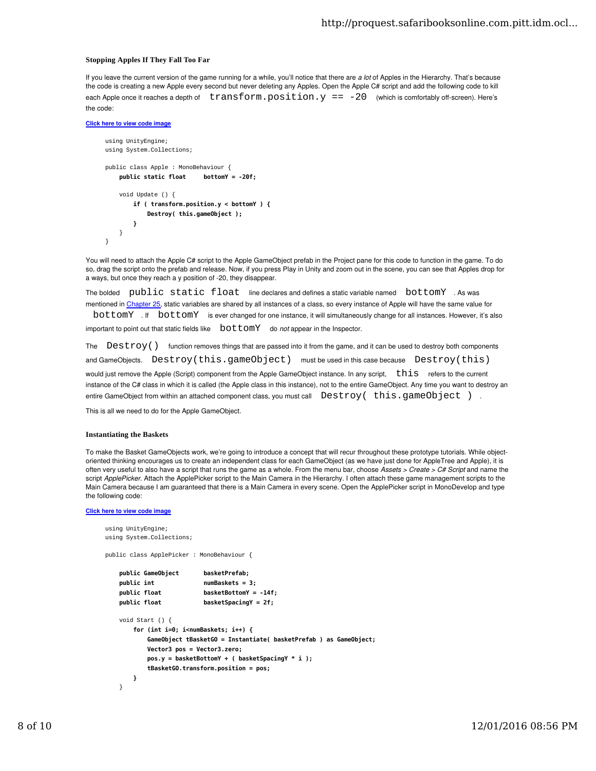## **Stopping Apples If They Fall Too Far**

If you leave the current version of the game running for a while, you'll notice that there are a lot of Apples in the Hierarchy. That's because the code is creating a new Apple every second but never deleting any Apples. Open the Apple C# script and add the following code to kill each Apple once it reaches a depth of  $transform.position y == -20$  (which is comfortably off-screen). Here's the code:

### Click here to view code image

```
using UnityEngine;
using System.Collections;
public class Apple : MonoBehaviour {
    public static float     bottomY = -20f;
     void Update () {
        if ( transform.position.y < bottomY ) {
            Destroy( this.gameObject );
        }
     }
}
```
You will need to attach the Apple C# script to the Apple GameObject prefab in the Project pane for this code to function in the game. To do so, drag the script onto the prefab and release. Now, if you press Play in Unity and zoom out in the scene, you can see that Apples drop for a ways, but once they reach a y position of -20, they disappear.

The bolded public static float line declares and defines a static variable named bottomY . As was mentioned in Chapter 25, static variables are shared by all instances of a class, so every instance of Apple will have the same value for

bottomY . If bottomY is ever changed for one instance, it will simultaneously change for all instances. However, it's also important to point out that static fields like  $bottomY$  do not appear in the Inspector.

The  $\text{Destroy}()$  function removes things that are passed into it from the game, and it can be used to destroy both components and GameObjects. Destroy(this.gameObject) must be used in this case because Destroy(this) would just remove the Apple (Script) component from the Apple GameObject instance. In any script,  $\text{this}$  refers to the current instance of the C# class in which it is called (the Apple class in this instance), not to the entire GameObject. Any time you want to destroy an entire GameObject from within an attached component class, you must call Destroy(this.gameObject).

This is all we need to do for the Apple GameObject.

### **Instantiating the Baskets**

To make the Basket GameObjects work, we're going to introduce a concept that will recur throughout these prototype tutorials. While objectoriented thinking encourages us to create an independent class for each GameObject (as we have just done for AppleTree and Apple), it is often very useful to also have a script that runs the game as a whole. From the menu bar, choose Assets > Create > C# Script and name the script ApplePicker. Attach the ApplePicker script to the Main Camera in the Hierarchy. I often attach these game management scripts to the Main Camera because I am guaranteed that there is a Main Camera in every scene. Open the ApplePicker script in MonoDevelop and type the following code:

#### Click here to view code image

```
using UnityEngine;
using System.Collections;
public class ApplePicker : MonoBehaviour {
    public GameObject       basketPrefab;
    public int              numBaskets = 3;
    public float            basketBottomY = -14f;
    public float            basketSpacingY = 2f;
     void Start () {
        for (int i=0; i<numBaskets; i++) {
            GameObject tBasketGO = Instantiate( basketPrefab ) as GameObject;
            Vector3 pos = Vector3.zero;
            pos.y = basketBottomY + ( basketSpacingY * i );
            tBasketGO.transform.position = pos;
        }
     }
```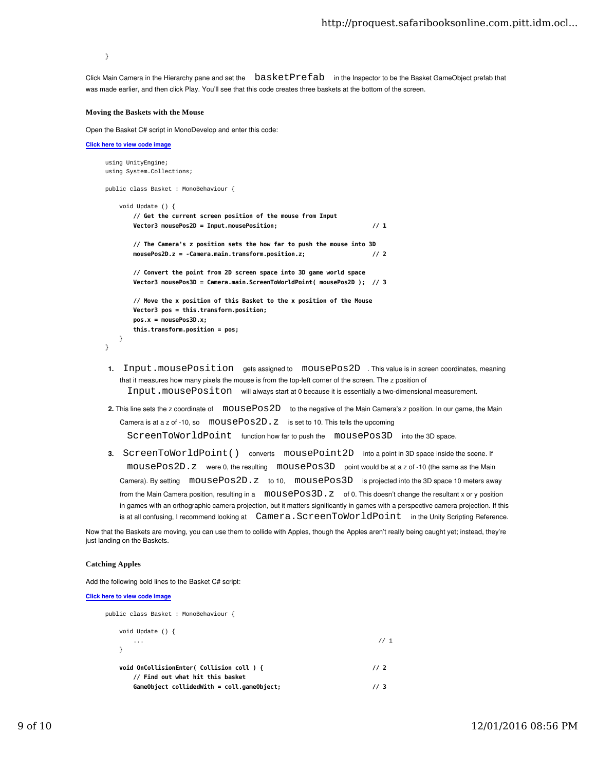}

Click Main Camera in the Hierarchy pane and set the  $b$ asketPrefab in the Inspector to be the Basket GameObject prefab that was made earlier, and then click Play. You'll see that this code creates three baskets at the bottom of the screen.

## **Moving the Baskets with the Mouse**

Open the Basket C# script in MonoDevelop and enter this code:

```
Click here to view code image
```

```
using UnityEngine;
using System.Collections;
public class Basket : MonoBehaviour {
     void Update () {
       // Get the current screen position of the mouse from Input
       Vector3 mousePos2D = Input.mousePosition; \frac{1}{1}// The Camera's z position sets the how far to push the mouse into 3D
       mousePos2D.z = -Camera.main.transform.position.z;                   // 2
        // Convert the point from 2D screen space into 3D game world space
       Vector3 mousePos3D = Camera.main.ScreenToWorldPoint( mousePos2D );  // 3
       // Move the x position of this Basket to the x position of the Mouse
       Vector3 pos = this.transform.position;
       pos.x = mousePos3D.x;
       this.transform.position = pos;
    }
}
```
- 1. Input.mousePosition gets assigned to mousePos2D . This value is in screen coordinates, meaning that it measures how many pixels the mouse is from the top-left corner of the screen. The z position of Input.mousePositon will always start at 0 because it is essentially a two-dimensional measurement.
- 2. This line sets the z coordinate of mousePos2D to the negative of the Main Camera's z position. In our game, the Main Camera is at a z of -10, so mousePos2D. Z is set to 10. This tells the upcoming ScreenToWorldPoint function how far to push the mousePos3D into the 3D space.
- 3. SCreenToWorldPoint() converts mousePoint2D into a point in 3D space inside the scene. If mousePos2D.z were 0, the resulting mousePos3D point would be at a z of -10 (the same as the Main Camera). By setting MOUSEPOS2D. Z to 10, MOUSEPOS3D is projected into the 3D space 10 meters away from the Main Camera position, resulting in a mousePos3D.z of 0. This doesn't change the resultant x or y position in games with an orthographic camera projection, but it matters significantly in games with a perspective camera projection. If this is at all confusing, I recommend looking at Camera. ScreenToWorldPoint in the Unity Scripting Reference.

Now that the Baskets are moving, you can use them to collide with Apples, though the Apples aren't really being caught yet; instead, they're just landing on the Baskets.

### **Catching Apples**

Add the following bold lines to the Basket C# script:

Click here to view code image

| public class Basket : MonoBehaviour {                                         |     |
|-------------------------------------------------------------------------------|-----|
| void Update $() \{$<br>$\cdots$                                               | 1/1 |
| void OnCollisionEnter( Collision coll ) {<br>// Find out what hit this basket | 112 |
| $GameObject$ collidedWith = coll.gameObject;                                  | 1/3 |